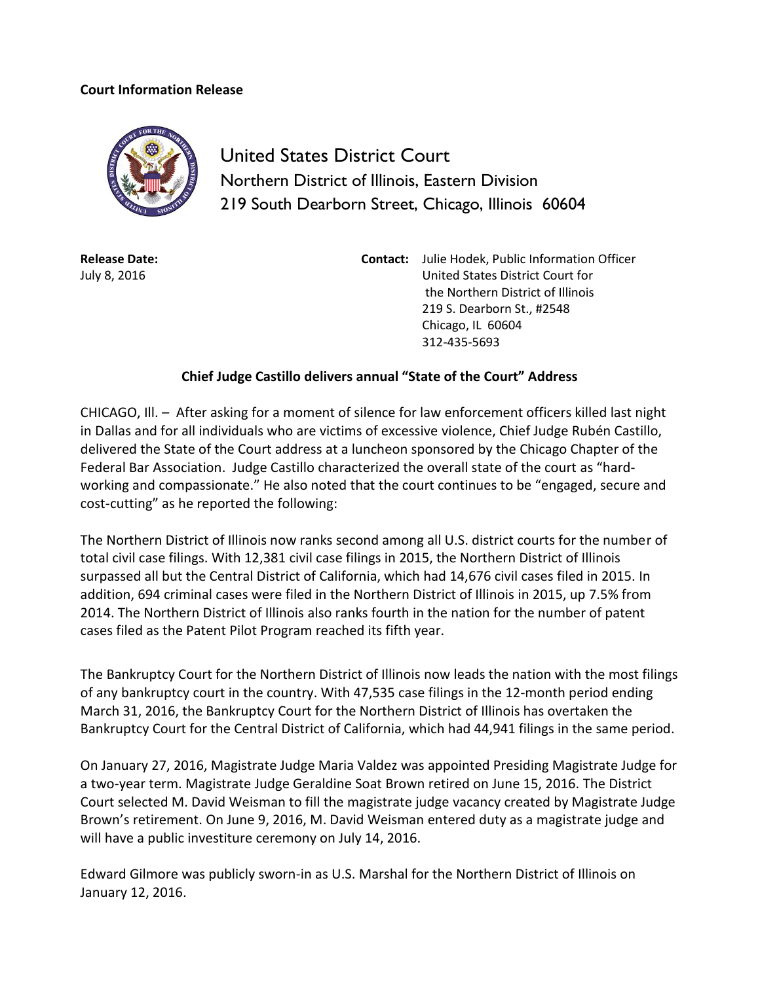## **Court Information Release**



United States District Court Northern District of Illinois, Eastern Division 219 South Dearborn Street, Chicago, Illinois 60604

**Release Date:** July 8, 2016

**Contact:** Julie Hodek, Public Information Officer United States District Court for the Northern District of Illinois 219 S. Dearborn St., #2548 Chicago, IL 60604 312-435-5693

## **Chief Judge Castillo delivers annual "State of the Court" Address**

CHICAGO, Ill. – After asking for a moment of silence for law enforcement officers killed last night in Dallas and for all individuals who are victims of excessive violence, Chief Judge Rubén Castillo, delivered the State of the Court address at a luncheon sponsored by the Chicago Chapter of the Federal Bar Association. Judge Castillo characterized the overall state of the court as "hardworking and compassionate." He also noted that the court continues to be "engaged, secure and cost-cutting" as he reported the following:

The Northern District of Illinois now ranks second among all U.S. district courts for the number of total civil case filings. With 12,381 civil case filings in 2015, the Northern District of Illinois surpassed all but the Central District of California, which had 14,676 civil cases filed in 2015. In addition, 694 criminal cases were filed in the Northern District of Illinois in 2015, up 7.5% from 2014. The Northern District of Illinois also ranks fourth in the nation for the number of patent cases filed as the Patent Pilot Program reached its fifth year.

The Bankruptcy Court for the Northern District of Illinois now leads the nation with the most filings of any bankruptcy court in the country. With 47,535 case filings in the 12-month period ending March 31, 2016, the Bankruptcy Court for the Northern District of Illinois has overtaken the Bankruptcy Court for the Central District of California, which had 44,941 filings in the same period.

On January 27, 2016, Magistrate Judge Maria Valdez was appointed Presiding Magistrate Judge for a two-year term. Magistrate Judge Geraldine Soat Brown retired on June 15, 2016. The District Court selected M. David Weisman to fill the magistrate judge vacancy created by Magistrate Judge Brown's retirement. On June 9, 2016, M. David Weisman entered duty as a magistrate judge and will have a public investiture ceremony on July 14, 2016.

Edward Gilmore was publicly sworn-in as U.S. Marshal for the Northern District of Illinois on January 12, 2016.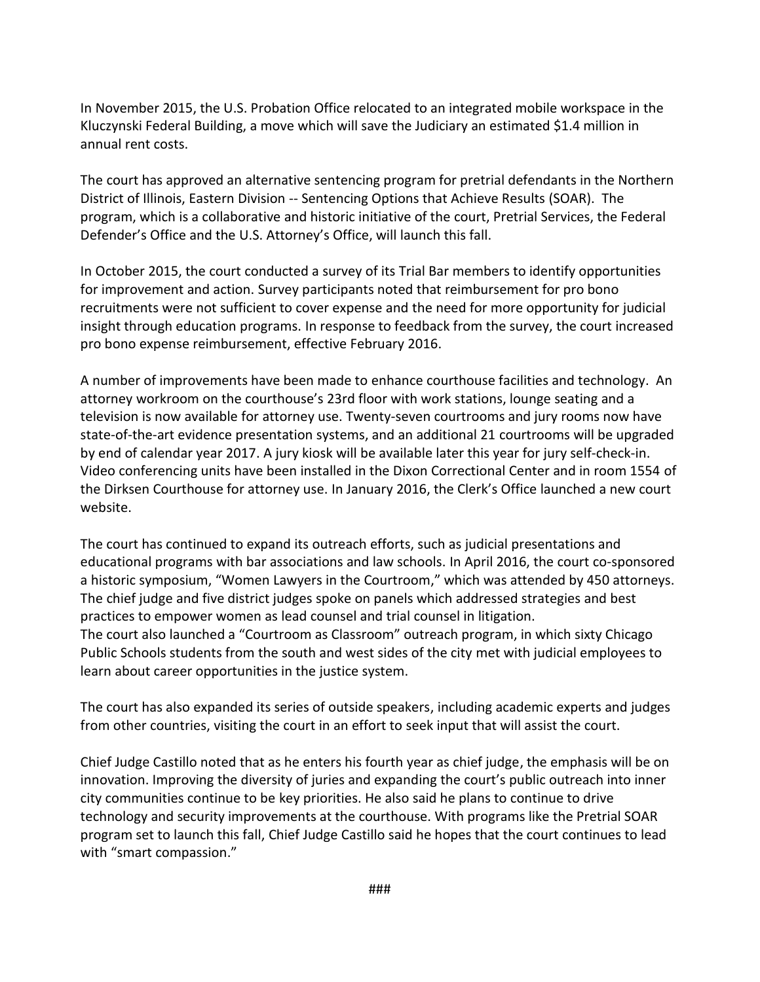In November 2015, the U.S. Probation Office relocated to an integrated mobile workspace in the Kluczynski Federal Building, a move which will save the Judiciary an estimated \$1.4 million in annual rent costs.

The court has approved an alternative sentencing program for pretrial defendants in the Northern District of Illinois, Eastern Division -- Sentencing Options that Achieve Results (SOAR). The program, which is a collaborative and historic initiative of the court, Pretrial Services, the Federal Defender's Office and the U.S. Attorney's Office, will launch this fall.

In October 2015, the court conducted a survey of its Trial Bar members to identify opportunities for improvement and action. Survey participants noted that reimbursement for pro bono recruitments were not sufficient to cover expense and the need for more opportunity for judicial insight through education programs. In response to feedback from the survey, the court increased pro bono expense reimbursement, effective February 2016.

A number of improvements have been made to enhance courthouse facilities and technology. An attorney workroom on the courthouse's 23rd floor with work stations, lounge seating and a television is now available for attorney use. Twenty-seven courtrooms and jury rooms now have state-of-the-art evidence presentation systems, and an additional 21 courtrooms will be upgraded by end of calendar year 2017. A jury kiosk will be available later this year for jury self-check-in. Video conferencing units have been installed in the Dixon Correctional Center and in room 1554 of the Dirksen Courthouse for attorney use. In January 2016, the Clerk's Office launched a new court website.

The court has continued to expand its outreach efforts, such as judicial presentations and educational programs with bar associations and law schools. In April 2016, the court co-sponsored a historic symposium, "Women Lawyers in the Courtroom," which was attended by 450 attorneys. The chief judge and five district judges spoke on panels which addressed strategies and best practices to empower women as lead counsel and trial counsel in litigation. The court also launched a "Courtroom as Classroom" outreach program, in which sixty Chicago Public Schools students from the south and west sides of the city met with judicial employees to learn about career opportunities in the justice system.

The court has also expanded its series of outside speakers, including academic experts and judges from other countries, visiting the court in an effort to seek input that will assist the court.

Chief Judge Castillo noted that as he enters his fourth year as chief judge, the emphasis will be on innovation. Improving the diversity of juries and expanding the court's public outreach into inner city communities continue to be key priorities. He also said he plans to continue to drive technology and security improvements at the courthouse. With programs like the Pretrial SOAR program set to launch this fall, Chief Judge Castillo said he hopes that the court continues to lead with "smart compassion."